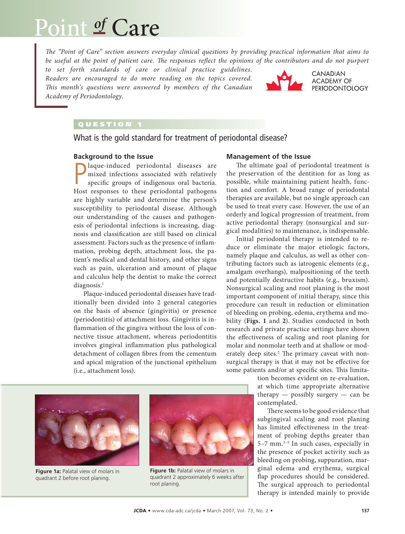# Point *of* Care

*The "Point of Care" section answers everyday clinical questions by providing practical information that aims to*  be useful at the point of patient care. The responses reflect the opinions of the contributors and do not purport

*to set forth standards of care or clinical practice guidelines. Readers are encouraged to do more reading on the topics covered. This month's questions were answered by members of the Canadian Academy of Periodontology.* 



CANADIAN **ACADEMY OF PERIODONTOLOGY** 

# QUESTION 1

What is the gold standard for treatment of periodontal disease?

## **Background to the Issue**

**P** laque-induced periodontal diseases are mixed infections associated with relatively specific groups of indigenous oral bacteria.<br>Host responses to these periodontal pathogens laque-induced periodontal diseases are mixed infections associated with relatively specific groups of indigenous oral bacteria. are highly variable and determine the person's susceptibility to periodontal disease. Although our understanding of the causes and pathogenesis of periodontal infections is increasing, diagnosis and classification are still based on clinical assessment. Factors such as the presence of inflammation, probing depth, attachment loss, the patient's medical and dental history, and other signs such as pain, ulceration and amount of plaque and calculus help the dentist to make the correct diagnosis.<sup>1</sup>

Plaque-induced periodontal diseases have traditionally been divided into 2 general categories on the basis of absence (gingivitis) or presence (periodontitis) of attachment loss. Gingivitis is inflammation of the gingiva without the loss of connective tissue attachment, whereas periodontitis involves gingival inflammation plus pathological detachment of collagen fibres from the cementum and apical migration of the junctional epithelium (i.e., attachment loss).

#### **Management of the Issue**

The ultimate goal of periodontal treatment is the preservation of the dentition for as long as possible, while maintaining patient health, function and comfort. A broad range of periodontal therapies are available, but no single approach can be used to treat every case. However, the use of an orderly and logical progression of treatment, from active periodontal therapy (nonsurgical and surgical modalities) to maintenance, is indispensable.

Initial periodontal therapy is intended to reduce or eliminate the major etiologic factors, namely plaque and calculus, as well as other contributing factors such as iatrogenic elements (e.g., amalgam overhangs), malpositioning of the teeth and potentially destructive habits (e.g., bruxism). Nonsurgical scaling and root planing is the most important component of initial therapy, since this procedure can result in reduction or elimination of bleeding on probing, edema, erythema and mobility (**Figs. 1** and **2**). Studies conducted in both research and private practice settings have shown the effectiveness of scaling and root planing for molar and nonmolar teeth and at shallow or moderately deep sites.<sup>2</sup> The primary caveat with nonsurgical therapy is that it may not be effective for some patients and/or at specific sites. This limita-

> tion becomes evident on re-evaluation, at which time appropriate alternative therapy  $-$  possibly surgery  $-$  can be contemplated.

> There seems to be good evidence that subgingival scaling and root planing has limited effectiveness in the treatment of probing depths greater than 5–7 mm.3–5 In such cases, especially in the presence of pocket activity such as bleeding on probing, suppuration, marginal edema and erythema, surgical flap procedures should be considered. The surgical approach to periodontal therapy is intended mainly to provide



**Figure 1a:** Palatal view of molars in quadrant 2 before root planing.



**Figure 1b:** Palatal view of molars in quadrant 2 approximately 6 weeks after root planing.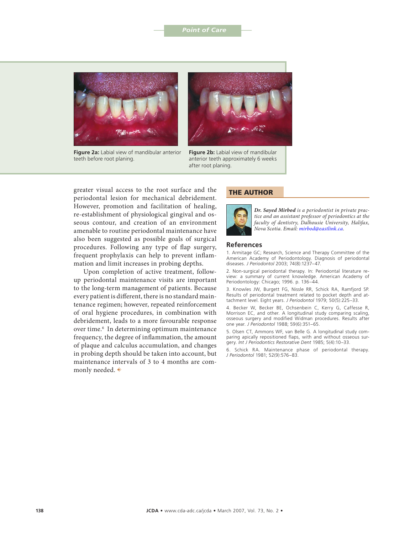#### **Point of Care**



**Figure 2a:** Labial view of mandibular anterior teeth before root planing.



**Figure 2b:** Labial view of mandibular anterior teeth approximately 6 weeks after root planing.

greater visual access to the root surface and the periodontal lesion for mechanical debridement. However, promotion and facilitation of healing, re-establishment of physiological gingival and osseous contour, and creation of an environment amenable to routine periodontal maintenance have also been suggested as possible goals of surgical procedures. Following any type of flap surgery, frequent prophylaxis can help to prevent inflammation and limit increases in probing depths.

Upon completion of active treatment, followup periodontal maintenance visits are important to the long-term management of patients. Because every patient is different, there is no standard maintenance regimen; however, repeated reinforcement of oral hygiene procedures, in combination with debridement, leads to a more favourable response over time.6 In determining optimum maintenance frequency, the degree of inflammation, the amount of plaque and calculus accumulation, and changes in probing depth should be taken into account, but maintenance intervals of 3 to 4 months are commonly needed.  $\Rightarrow$ 

## THE AUTHOR



*Dr. Sayed Mirbod is a periodontist in private practice and an assistant professor of periodontics at the faculty of dentistry, Dalhousie University, Halifax, Nova Scotia. Email: [mirbod@eastlink.ca.](mailto:mirbod@eastlink.ca)*

#### **References**

1. Armitage GC; Research, Science and Therapy Committee of the American Academy of Periodontology. Diagnosis of periodontal diseases. *J Periodontol* 2003; 74(8):1237–47.

2. Non-surgical periodontal therapy. In: Periodontal literature review: a summary of current knowledge. American Academy of Periodontology: Chicago; 1996. p. 136–44.

3. Knowles JW, Burgett FG, Nissle RR, Schick RA, Ramfjord SP. Results of periodontal treatment related to pocket depth and attachment level. Eight years. *J Periodontol* 1979; 50(5):225–33.

4. Becker W, Becker BE, Ochsenbein C, Kerry G, Caffesse R, Morrison EC, and other. A longitudinal study comparing scaling, osseous surgery and modified Widman procedures. Results after one year. *J Periodontol* 1988; 59(6):351–65.

5. Olsen CT, Ammons WF, van Belle G. A longitudinal study comparing apically repositioned flaps, with and without osseous surgery. *Int J Periodontics Restorative Dent* 1985; 5(4):10–33.

6. Schick RA. Maintenance phase of periodontal therapy. *J Periodontol* 1981; 52(9):576–83.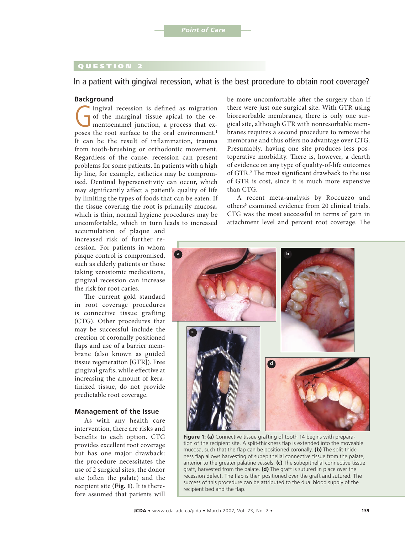# QUESTION 2

In a patient with gingival recession, what is the best procedure to obtain root coverage?

#### **Background**

Ingival recession is defined as migration<br>of the marginal tissue apical to the ce-<br>mentoenamel junction, a process that ex-<br>poses the root surface to the oral environment l of the marginal tissue apical to the cementoenamel junction, a process that exposes the root surface to the oral environment.<sup>1</sup> It can be the result of inflammation, trauma from tooth-brushing or orthodontic movement. Regardless of the cause, recession can present problems for some patients. In patients with a high lip line, for example, esthetics may be compromised. Dentinal hypersensitivity can occur, which may significantly affect a patient's quality of life by limiting the types of foods that can be eaten. If the tissue covering the root is primarily mucosa, which is thin, normal hygiene procedures may be uncomfortable, which in turn leads to increased

accumulation of plaque and increased risk of further recession. For patients in whom plaque control is compromised, such as elderly patients or those taking xerostomic medications, gingival recession can increase the risk for root caries.

The current gold standard in root coverage procedures is connective tissue grafting (CTG). Other procedures that may be successful include the creation of coronally positioned flaps and use of a barrier membrane (also known as guided tissue regeneration [GTR]). Free gingival grafts, while effective at increasing the amount of keratinized tissue, do not provide predictable root coverage.

#### **Management of the Issue**

As with any health care intervention, there are risks and benefits to each option. CTG provides excellent root coverage but has one major drawback: the procedure necessitates the use of 2 surgical sites, the donor site (often the palate) and the recipient site (**Fig. 1**). It is therefore assumed that patients will

be more uncomfortable after the surgery than if there were just one surgical site. With GTR using bioresorbable membranes, there is only one surgical site, although GTR with nonresorbable membranes requires a second procedure to remove the membrane and thus offers no advantage over CTG. Presumably, having one site produces less postoperative morbidity. There is, however, a dearth of evidence on any type of quality-of-life outcomes of GTR.<sup>2</sup> The most significant drawback to the use of GTR is cost, since it is much more expensive than CTG.

A recent meta-analysis by Roccuzzo and others<sup>3</sup> examined evidence from 20 clinical trials. CTG was the most successful in terms of gain in attachment level and percent root coverage. The



**Figure 1: (a)** Connective tissue grafting of tooth 14 begins with preparation of the recipient site. A split-thickness flap is extended into the moveable mucosa, such that the flap can be positioned coronally. **(b)** The split-thickness flap allows harvesting of subepithelial connective tissue from the palate, anterior to the greater palatine vessels. **(c)** The subepithelial connective tissue graft, harvested from the palate. **(d)** The graft is sutured in place over the recession defect. The flap is then positioned over the graft and sutured. The success of this procedure can be attributed to the dual blood supply of the recipient bed and the flap.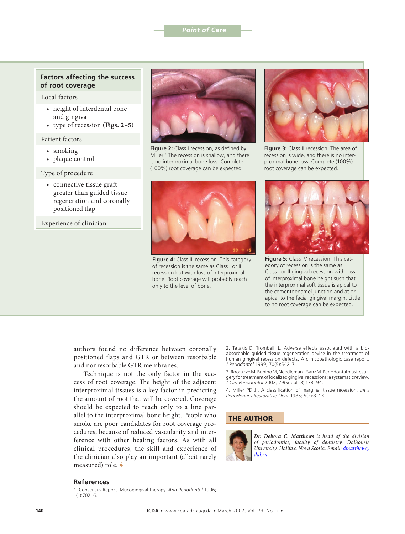## **Factors affecting the success of root coverage**

Local factors

- height of interdental bone and gingiva
- type of recession (**Figs. 2**–**5**)

#### Patient factors

- smoking
- plaque control

#### Type of procedure

• connective tissue graft greater than guided tissue regeneration and coronally positioned flap

Experience of clinician



**Figure 2:** Class I recession, as defined by Miller.4 The recession is shallow, and there is no interproximal bone loss. Complete (100%) root coverage can be expected.



**Figure 4:** Class III recession. This category of recession is the same as Class I or II recession but with loss of interproximal bone. Root coverage will probably reach only to the level of bone.



**Figure 3:** Class II recession. The area of recession is wide, and there is no interproximal bone loss. Complete (100%) root coverage can be expected.



**Figure 5:** Class IV recession. This category of recession is the same as Class I or II gingival recession with loss of interproximal bone height such that the interproximal soft tissue is apical to the cementoenamel junction and at or apical to the facial gingival margin. Little to no root coverage can be expected.

authors found no difference between coronally positioned flaps and GTR or between resorbable and nonresorbable GTR membranes.

Technique is not the only factor in the success of root coverage. The height of the adjacent interproximal tissues is a key factor in predicting the amount of root that will be covered. Coverage should be expected to reach only to a line parallel to the interproximal bone height. People who smoke are poor candidates for root coverage procedures, because of reduced vascularity and interference with other healing factors. As with all clinical procedures, the skill and experience of the clinician also play an important (albeit rarely measured) role.  $\blacklozenge$ 

2. Tatakis D, Trombelli L. Adverse effects associated with a bioabsorbable guided tissue regeneration device in the treatment of human gingival recession defects. A clinicopathologic case report. *J Periodontol* 1999; 70(5):542–7.

3. Roccuzzo M, Bunino M, Needleman I, Sanz M. Periodontal plastic surgery for treatment of localized gingival recessions: a systematic review. *J Clin Periodontol* 2002; 29(Suppl. 3):178–94.

4. Miller PD Jr. A classification of marginal tissue recession. *Int J Periodontics Restorative Dent* 1985; 5(2):8–13.

## THE AUTHOR



*Dr. Debora C. Matthews is head of the division of periodontics, faculty of dentistry, Dalhousie [University, Halifax, Nova Scotia. Email: dmatthew@](mailto:dmatthew@dal.ca) dal.ca.*

#### **References**

1. Consensus Report. Mucogingival therapy. *Ann Periodontol* 1996; 1(1):702–6.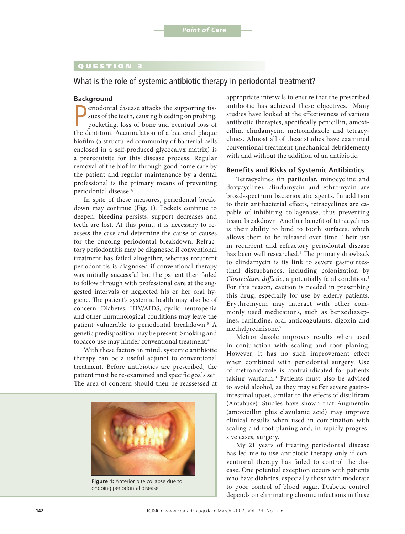# QUESTION 3

What is the role of systemic antibiotic therapy in periodontal treatment?

#### **Background**

**P**eriodontal disease attacks the supporting tissues of the teeth, causing bleeding on probing, pocketing, loss of bone and eventual loss of the dentition. Accumulation of a bacterial plaque eriodontal disease attacks the supporting tissues of the teeth, causing bleeding on probing, pocketing, loss of bone and eventual loss of biofilm (a structured community of bacterial cells enclosed in a self-produced glycocalyx matrix) is a prerequisite for this disease process. Regular removal of the biofilm through good home care by the patient and regular maintenance by a dental professional is the primary means of preventing periodontal disease.<sup>1,2</sup>

In spite of these measures, periodontal breakdown may continue (**Fig. 1**). Pockets continue to deepen, bleeding persists, support decreases and teeth are lost. At this point, it is necessary to reassess the case and determine the cause or causes for the ongoing periodontal breakdown. Refractory periodontitis may be diagnosed if conventional treatment has failed altogether, whereas recurrent periodontitis is diagnosed if conventional therapy was initially successful but the patient then failed to follow through with professional care at the suggested intervals or neglected his or her oral hygiene. The patient's systemic health may also be of concern. Diabetes, HIV/AIDS, cyclic neutropenia and other immunological conditions may leave the patient vulnerable to periodontal breakdown.<sup>3</sup> A genetic predisposition may be present. Smoking and tobacco use may hinder conventional treatment.<sup>4</sup>

With these factors in mind, systemic antibiotic therapy can be a useful adjunct to conventional treatment. Before antibiotics are prescribed, the patient must be re-examined and specific goals set. The area of concern should then be reassessed at



**Figure 1:** Anterior bite collapse due to ongoing periodontal disease.

appropriate intervals to ensure that the prescribed antibiotic has achieved these objectives.<sup>5</sup> Many studies have looked at the effectiveness of various antibiotic therapies, specifically penicillin, amoxicillin, clindamycin, metronidazole and tetracyclines. Almost all of these studies have examined conventional treatment (mechanical debridement) with and without the addition of an antibiotic.

## **Benefits and Risks of Systemic Antibiotics**

Tetracyclines (in particular, minocycline and doxycycline), clindamycin and ethromycin are broad-spectrum bacteriostatic agents. In addition to their antibacterial effects, tetracyclines are capable of inhibiting collagenase, thus preventing tissue breakdown. Another benefit of tetracyclines is their ability to bind to tooth surfaces, which allows them to be released over time. Their use in recurrent and refractory periodontal disease has been well researched.<sup>6</sup> The primary drawback to clindamycin is its link to severe gastrointestinal disturbances, including colonization by *Clostridium difficile*, a potentially fatal condition.5 For this reason, caution is needed in prescribing this drug, especially for use by elderly patients. Erythromycin may interact with other commonly used medications, such as benzodiazepines, ranitidine, oral anticoagulants, digoxin and methylprednisone.7

Metronidazole improves results when used in conjunction with scaling and root planing. However, it has no such improvement effect when combined with periodontal surgery. Use of metronidazole is contraindicated for patients taking warfarin.8 Patients must also be advised to avoid alcohol, as they may suffer severe gastrointestinal upset, similar to the effects of disulfiram (Antabuse). Studies have shown that Augmentin (amoxicillin plus clavulanic acid) may improve clinical results when used in combination with scaling and root planing and, in rapidly progressive cases, surgery.

My 21 years of treating periodontal disease has led me to use antibiotic therapy only if conventional therapy has failed to control the disease. One potential exception occurs with patients who have diabetes, especially those with moderate to poor control of blood sugar. Diabetic control depends on eliminating chronic infections in these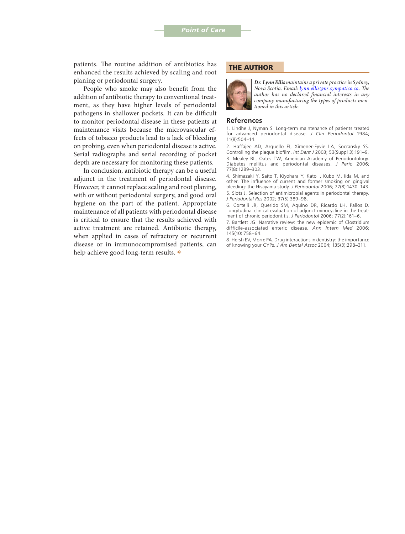patients. The routine addition of antibiotics has enhanced the results achieved by scaling and root planing or periodontal surgery.

People who smoke may also benefit from the addition of antibiotic therapy to conventional treatment, as they have higher levels of periodontal pathogens in shallower pockets. It can be difficult to monitor periodontal disease in these patients at maintenance visits because the microvascular effects of tobacco products lead to a lack of bleeding on probing, even when periodontal disease is active. Serial radiographs and serial recording of pocket depth are necessary for monitoring these patients.

In conclusion, antibiotic therapy can be a useful adjunct in the treatment of periodontal disease. However, it cannot replace scaling and root planing, with or without periodontal surgery, and good oral hygiene on the part of the patient. Appropriate maintenance of all patients with periodontal disease is critical to ensure that the results achieved with active treatment are retained. Antibiotic therapy, when applied in cases of refractory or recurrent disease or in immunocompromised patients, can help achieve good long-term results.  $\ast$ 

#### THE AUTHOR



*Dr. Lynn Ellis maintains a private practice in Sydney, Nova Scotia. Email[: lynn.ellis@ns.sympatico.ca. Th](mailto:lynn.ellis@ns.sympatico.ca)e author has no declared financial interests in any company manufacturing the types of products mentioned in this article.*

#### **References**

1. Lindhe J, Nyman S. Long-term maintenance of patients treated for advanced periodontal disease. *J Clin Periodontol* 1984; 11(8):504–14.

2. Haffajee AD, Arquello EI, Ximener-Fyvie LA, Socransky SS. Controlling the plaque biofilm. *Int Dent J* 2003; 53(Suppl 3):191–9. 3. Mealey BL, Oates TW, American Academy of Periodontology. Diabetes mellitus and periodontal diseases. *J Perio* 2006; 77(8):1289–303.

4. Shimazaki Y, Saito T, Kiyohara Y, Kato I, Kubo M, Iida M, and other. The influence of current and former smoking on gingival bleeding: the Hisayama study. *J Periodontol* 2006; 77(8):1430–143. 5. Slots J. Selection of antimicrobial agents in periodontal therapy. *J Periodontal Res* 2002; 37(5):389–98.

6. Cortelli JR, Querido SM, Aquino DR, Ricardo LH, Pallos D. Longitudinal clinical evaluation of adjunct minocycline in the treatment of chronic periodontitis. *J Periodontol* 2006; 77(2):161–6.

7. Bartlett JG. Narrative review: the new epidemic of Clostridium difficile-associated enteric disease. *Ann Intern Med* 2006; 145(10):758–64.

8. Hersh EV, Morre PA. Drug interactions in dentistry: the importance of knowing your CYPs. *J Am Dental Assoc* 2004; 135(3):298–311.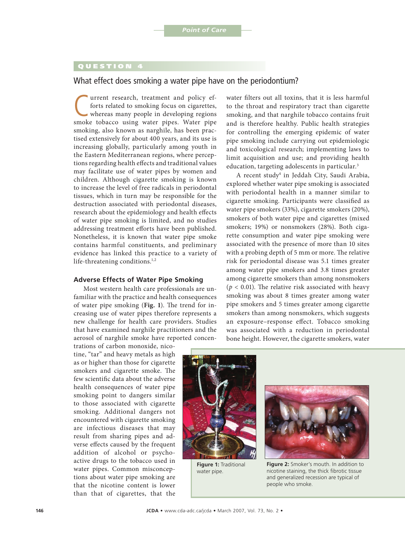## QUESTION 4

# What effect does smoking a water pipe have on the periodontium?

Turrent research, treatment and policy ef-<br>forts related to smoking focus on cigarettes,<br>whereas many people in developing regions<br>smoke tobacco, using water pipes. Water pipe forts related to smoking focus on cigarettes, whereas many people in developing regions smoke tobacco using water pipes. Water pipe smoking, also known as narghile, has been practised extensively for about 400 years, and its use is increasing globally, particularly among youth in the Eastern Mediterranean regions, where perceptions regarding health effects and traditional values may facilitate use of water pipes by women and children. Although cigarette smoking is known to increase the level of free radicals in periodontal tissues, which in turn may be responsible for the destruction associated with periodontal diseases, research about the epidemiology and health effects of water pipe smoking is limited, and no studies addressing treatment efforts have been published. Nonetheless, it is known that water pipe smoke contains harmful constituents, and preliminary evidence has linked this practice to a variety of life-threatening conditions.<sup>1,2</sup>

#### **Adverse Effects of Water Pipe Smoking**

Most western health care professionals are unfamiliar with the practice and health consequences of water pipe smoking (**Fig. 1**). The trend for increasing use of water pipes therefore represents a new challenge for health care providers. Studies that have examined narghile practitioners and the aerosol of narghile smoke have reported concen-

water filters out all toxins, that it is less harmful to the throat and respiratory tract than cigarette smoking, and that narghile tobacco contains fruit and is therefore healthy. Public health strategies for controlling the emerging epidemic of water pipe smoking include carrying out epidemiologic and toxicological research; implementing laws to limit acquisition and use; and providing health education, targeting adolescents in particular.<sup>3</sup>

A recent study4 in Jeddah City, Saudi Arabia, explored whether water pipe smoking is associated with periodontal health in a manner similar to cigarette smoking. Participants were classified as water pipe smokers (33%), cigarette smokers (20%), smokers of both water pipe and cigarettes (mixed smokers; 19%) or nonsmokers (28%). Both cigarette consumption and water pipe smoking were associated with the presence of more than 10 sites with a probing depth of 5 mm or more. The relative risk for periodontal disease was 5.1 times greater among water pipe smokers and 3.8 times greater among cigarette smokers than among nonsmokers  $(p < 0.01)$ . The relative risk associated with heavy smoking was about 8 times greater among water pipe smokers and 5 times greater among cigarette smokers than among nonsmokers, which suggests an exposure–response effect. Tobacco smoking was associated with a reduction in periodontal bone height. However, the cigarette smokers, water

trations of carbon monoxide, nicotine, "tar" and heavy metals as high as or higher than those for cigarette smokers and cigarette smoke. The few scientific data about the adverse health consequences of water pipe smoking point to dangers similar to those associated with cigarette smoking. Additional dangers not encountered with cigarette smoking are infectious diseases that may result from sharing pipes and adverse effects caused by the frequent addition of alcohol or psychoactive drugs to the tobacco used in water pipes. Common misconceptions about water pipe smoking are that the nicotine content is lower than that of cigarettes, that the



**Figure 1:** Traditional water pipe.



**Figure 2:** Smoker's mouth. In addition to nicotine staining, the thick fibrotic tissue and generalized recession are typical of people who smoke.